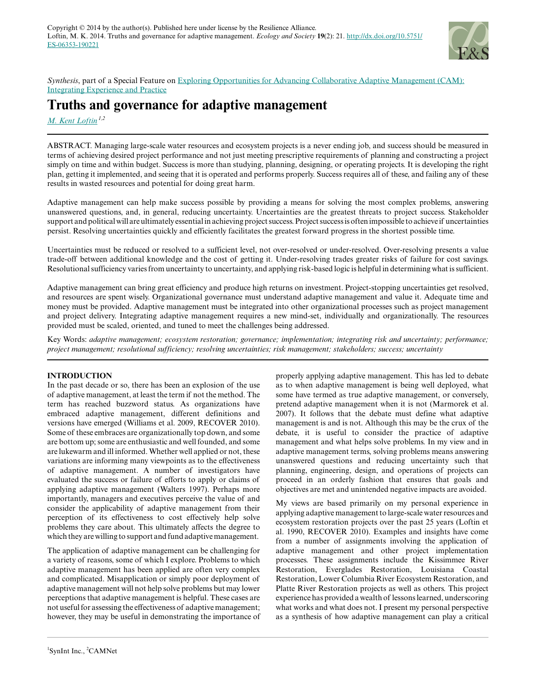

*Synthesis*, part of a Special Feature on [Exploring Opportunities for Advancing Collaborative Adaptive Management \(CAM\):](http://www.ecologyandsociety.org/viewissue.php?sf=77) [Integrating Experience and Practice](http://www.ecologyandsociety.org/viewissue.php?sf=77)

# **Truths and governance for adaptive management**

*[M. Kent Loftin](mailto:kloftin@synint.com) 1,2*

ABSTRACT. Managing large-scale water resources and ecosystem projects is a never ending job, and success should be measured in terms of achieving desired project performance and not just meeting prescriptive requirements of planning and constructing a project simply on time and within budget. Success is more than studying, planning, designing, or operating projects. It is developing the right plan, getting it implemented, and seeing that it is operated and performs properly. Success requires all of these, and failing any of these results in wasted resources and potential for doing great harm.

Adaptive management can help make success possible by providing a means for solving the most complex problems, answering unanswered questions, and, in general, reducing uncertainty. Uncertainties are the greatest threats to project success. Stakeholder support and political will are ultimately essential in achieving project success. Project success is often impossible to achieve if uncertainties persist. Resolving uncertainties quickly and efficiently facilitates the greatest forward progress in the shortest possible time.

Uncertainties must be reduced or resolved to a sufficient level, not over-resolved or under-resolved. Over-resolving presents a value trade-off between additional knowledge and the cost of getting it. Under-resolving trades greater risks of failure for cost savings. Resolutional sufficiency varies from uncertainty to uncertainty, and applying risk-based logic is helpful in determining what is sufficient.

Adaptive management can bring great efficiency and produce high returns on investment. Project-stopping uncertainties get resolved, and resources are spent wisely. Organizational governance must understand adaptive management and value it. Adequate time and money must be provided. Adaptive management must be integrated into other organizational processes such as project management and project delivery. Integrating adaptive management requires a new mind-set, individually and organizationally. The resources provided must be scaled, oriented, and tuned to meet the challenges being addressed.

Key Words: *adaptive management; ecosystem restoration; governance; implementation; integrating risk and uncertainty; performance; project management; resolutional sufficiency; resolving uncertainties; risk management; stakeholders; success; uncertainty*

## **INTRODUCTION**

In the past decade or so, there has been an explosion of the use of adaptive management, at least the term if not the method. The term has reached buzzword status. As organizations have embraced adaptive management, different definitions and versions have emerged (Williams et al. 2009, RECOVER 2010). Some of these embraces are organizationally top down, and some are bottom up; some are enthusiastic and well founded, and some are lukewarm and ill informed. Whether well applied or not, these variations are informing many viewpoints as to the effectiveness of adaptive management. A number of investigators have evaluated the success or failure of efforts to apply or claims of applying adaptive management (Walters 1997). Perhaps more importantly, managers and executives perceive the value of and consider the applicability of adaptive management from their perception of its effectiveness to cost effectively help solve problems they care about. This ultimately affects the degree to which they are willing to support and fund adaptive management.

The application of adaptive management can be challenging for a variety of reasons, some of which I explore. Problems to which adaptive management has been applied are often very complex and complicated. Misapplication or simply poor deployment of adaptive management will not help solve problems but may lower perceptions that adaptive management is helpful. These cases are not useful for assessing the effectiveness of adaptive management; however, they may be useful in demonstrating the importance of properly applying adaptive management. This has led to debate as to when adaptive management is being well deployed, what some have termed as true adaptive management, or conversely, pretend adaptive management when it is not (Marmorek et al. 2007). It follows that the debate must define what adaptive management is and is not. Although this may be the crux of the debate, it is useful to consider the practice of adaptive management and what helps solve problems. In my view and in adaptive management terms, solving problems means answering unanswered questions and reducing uncertainty such that planning, engineering, design, and operations of projects can proceed in an orderly fashion that ensures that goals and objectives are met and unintended negative impacts are avoided.

My views are based primarily on my personal experience in applying adaptive management to large-scale water resources and ecosystem restoration projects over the past 25 years (Loftin et al. 1990, RECOVER 2010). Examples and insights have come from a number of assignments involving the application of adaptive management and other project implementation processes. These assignments include the Kissimmee River Restoration, Everglades Restoration, Louisiana Coastal Restoration, Lower Columbia River Ecosystem Restoration, and Platte River Restoration projects as well as others. This project experience has provided a wealth of lessons learned, underscoring what works and what does not. I present my personal perspective as a synthesis of how adaptive management can play a critical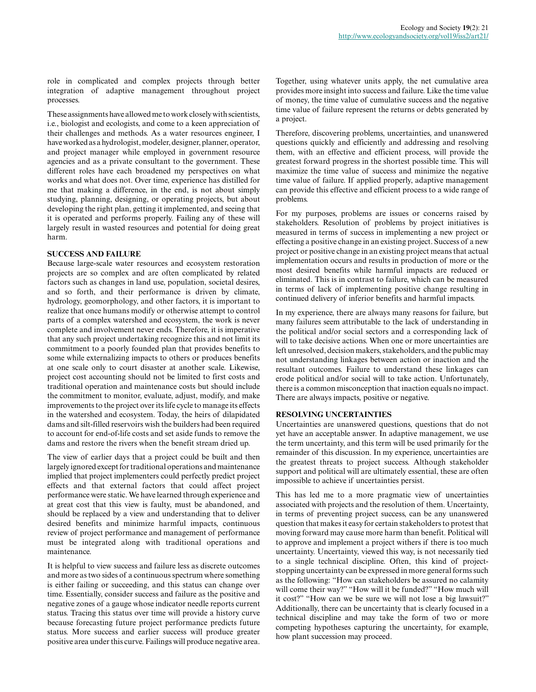role in complicated and complex projects through better integration of adaptive management throughout project processes.

These assignments have allowed me to work closely with scientists, i.e., biologist and ecologists, and come to a keen appreciation of their challenges and methods. As a water resources engineer, I have worked as a hydrologist, modeler, designer, planner, operator, and project manager while employed in government resource agencies and as a private consultant to the government. These different roles have each broadened my perspectives on what works and what does not. Over time, experience has distilled for me that making a difference, in the end, is not about simply studying, planning, designing, or operating projects, but about developing the right plan, getting it implemented, and seeing that it is operated and performs properly. Failing any of these will largely result in wasted resources and potential for doing great harm.

#### **SUCCESS AND FAILURE**

Because large-scale water resources and ecosystem restoration projects are so complex and are often complicated by related factors such as changes in land use, population, societal desires, and so forth, and their performance is driven by climate, hydrology, geomorphology, and other factors, it is important to realize that once humans modify or otherwise attempt to control parts of a complex watershed and ecosystem, the work is never complete and involvement never ends. Therefore, it is imperative that any such project undertaking recognize this and not limit its commitment to a poorly founded plan that provides benefits to some while externalizing impacts to others or produces benefits at one scale only to court disaster at another scale. Likewise, project cost accounting should not be limited to first costs and traditional operation and maintenance costs but should include the commitment to monitor, evaluate, adjust, modify, and make improvements to the project over its life cycle to manage its effects in the watershed and ecosystem. Today, the heirs of dilapidated dams and silt-filled reservoirs wish the builders had been required to account for end-of-life costs and set aside funds to remove the dams and restore the rivers when the benefit stream dried up.

The view of earlier days that a project could be built and then largely ignored except for traditional operations and maintenance implied that project implementers could perfectly predict project effects and that external factors that could affect project performance were static. We have learned through experience and at great cost that this view is faulty, must be abandoned, and should be replaced by a view and understanding that to deliver desired benefits and minimize harmful impacts, continuous review of project performance and management of performance must be integrated along with traditional operations and maintenance.

It is helpful to view success and failure less as discrete outcomes and more as two sides of a continuous spectrum where something is either failing or succeeding, and this status can change over time. Essentially, consider success and failure as the positive and negative zones of a gauge whose indicator needle reports current status. Tracing this status over time will provide a history curve because forecasting future project performance predicts future status. More success and earlier success will produce greater positive area under this curve. Failings will produce negative area.

Together, using whatever units apply, the net cumulative area provides more insight into success and failure. Like the time value of money, the time value of cumulative success and the negative time value of failure represent the returns or debts generated by a project.

Therefore, discovering problems, uncertainties, and unanswered questions quickly and efficiently and addressing and resolving them, with an effective and efficient process, will provide the greatest forward progress in the shortest possible time. This will maximize the time value of success and minimize the negative time value of failure. If applied properly, adaptive management can provide this effective and efficient process to a wide range of problems.

For my purposes, problems are issues or concerns raised by stakeholders. Resolution of problems by project initiatives is measured in terms of success in implementing a new project or effecting a positive change in an existing project. Success of a new project or positive change in an existing project means that actual implementation occurs and results in production of more or the most desired benefits while harmful impacts are reduced or eliminated. This is in contrast to failure, which can be measured in terms of lack of implementing positive change resulting in continued delivery of inferior benefits and harmful impacts.

In my experience, there are always many reasons for failure, but many failures seem attributable to the lack of understanding in the political and/or social sectors and a corresponding lack of will to take decisive actions. When one or more uncertainties are left unresolved, decision makers, stakeholders, and the public may not understanding linkages between action or inaction and the resultant outcomes. Failure to understand these linkages can erode political and/or social will to take action. Unfortunately, there is a common misconception that inaction equals no impact. There are always impacts, positive or negative.

## **RESOLVING UNCERTAINTIES**

Uncertainties are unanswered questions, questions that do not yet have an acceptable answer. In adaptive management, we use the term uncertainty, and this term will be used primarily for the remainder of this discussion. In my experience, uncertainties are the greatest threats to project success. Although stakeholder support and political will are ultimately essential, these are often impossible to achieve if uncertainties persist.

This has led me to a more pragmatic view of uncertainties associated with projects and the resolution of them. Uncertainty, in terms of preventing project success, can be any unanswered question that makes it easy for certain stakeholders to protest that moving forward may cause more harm than benefit. Political will to approve and implement a project withers if there is too much uncertainty. Uncertainty, viewed this way, is not necessarily tied to a single technical discipline. Often, this kind of projectstopping uncertainty can be expressed in more general forms such as the following: "How can stakeholders be assured no calamity will come their way?" "How will it be funded?" "How much will it cost?" "How can we be sure we will not lose a big lawsuit?" Additionally, there can be uncertainty that is clearly focused in a technical discipline and may take the form of two or more competing hypotheses capturing the uncertainty, for example, how plant succession may proceed.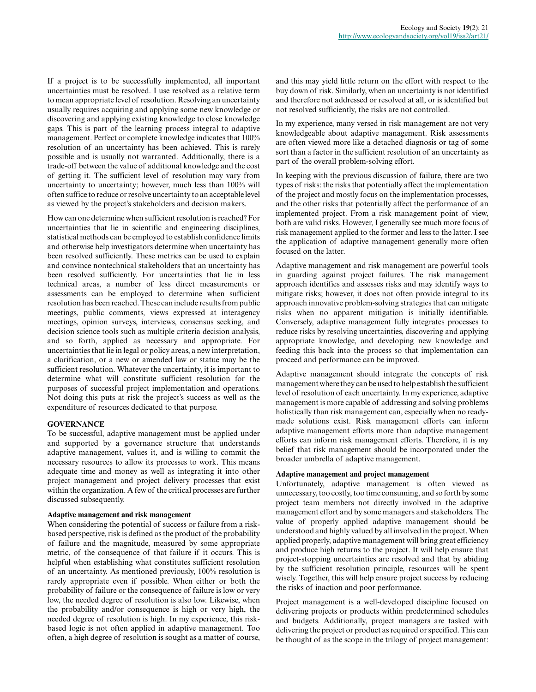If a project is to be successfully implemented, all important uncertainties must be resolved. I use resolved as a relative term to mean appropriate level of resolution. Resolving an uncertainty usually requires acquiring and applying some new knowledge or discovering and applying existing knowledge to close knowledge gaps. This is part of the learning process integral to adaptive management. Perfect or complete knowledge indicates that 100% resolution of an uncertainty has been achieved. This is rarely possible and is usually not warranted. Additionally, there is a trade-off between the value of additional knowledge and the cost of getting it. The sufficient level of resolution may vary from uncertainty to uncertainty; however, much less than 100% will often suffice to reduce or resolve uncertainty to an acceptable level as viewed by the project's stakeholders and decision makers.

How can one determine when sufficient resolution is reached? For uncertainties that lie in scientific and engineering disciplines, statistical methods can be employed to establish confidence limits and otherwise help investigators determine when uncertainty has been resolved sufficiently. These metrics can be used to explain and convince nontechnical stakeholders that an uncertainty has been resolved sufficiently. For uncertainties that lie in less technical areas, a number of less direct measurements or assessments can be employed to determine when sufficient resolution has been reached. These can include results from public meetings, public comments, views expressed at interagency meetings, opinion surveys, interviews, consensus seeking, and decision science tools such as multiple criteria decision analysis, and so forth, applied as necessary and appropriate. For uncertainties that lie in legal or policy areas, a new interpretation, a clarification, or a new or amended law or statue may be the sufficient resolution. Whatever the uncertainty, it is important to determine what will constitute sufficient resolution for the purposes of successful project implementation and operations. Not doing this puts at risk the project's success as well as the expenditure of resources dedicated to that purpose.

## **GOVERNANCE**

To be successful, adaptive management must be applied under and supported by a governance structure that understands adaptive management, values it, and is willing to commit the necessary resources to allow its processes to work. This means adequate time and money as well as integrating it into other project management and project delivery processes that exist within the organization. A few of the critical processes are further discussed subsequently.

#### **Adaptive management and risk management**

When considering the potential of success or failure from a riskbased perspective, risk is defined as the product of the probability of failure and the magnitude, measured by some appropriate metric, of the consequence of that failure if it occurs. This is helpful when establishing what constitutes sufficient resolution of an uncertainty. As mentioned previously, 100% resolution is rarely appropriate even if possible. When either or both the probability of failure or the consequence of failure is low or very low, the needed degree of resolution is also low. Likewise, when the probability and/or consequence is high or very high, the needed degree of resolution is high. In my experience, this riskbased logic is not often applied in adaptive management. Too often, a high degree of resolution is sought as a matter of course,

and this may yield little return on the effort with respect to the buy down of risk. Similarly, when an uncertainty is not identified and therefore not addressed or resolved at all, or is identified but not resolved sufficiently, the risks are not controlled.

In my experience, many versed in risk management are not very knowledgeable about adaptive management. Risk assessments are often viewed more like a detached diagnosis or tag of some sort than a factor in the sufficient resolution of an uncertainty as part of the overall problem-solving effort.

In keeping with the previous discussion of failure, there are two types of risks: the risks that potentially affect the implementation of the project and mostly focus on the implementation processes, and the other risks that potentially affect the performance of an implemented project. From a risk management point of view, both are valid risks. However, I generally see much more focus of risk management applied to the former and less to the latter. I see the application of adaptive management generally more often focused on the latter.

Adaptive management and risk management are powerful tools in guarding against project failures. The risk management approach identifies and assesses risks and may identify ways to mitigate risks; however, it does not often provide integral to its approach innovative problem-solving strategies that can mitigate risks when no apparent mitigation is initially identifiable. Conversely, adaptive management fully integrates processes to reduce risks by resolving uncertainties, discovering and applying appropriate knowledge, and developing new knowledge and feeding this back into the process so that implementation can proceed and performance can be improved.

Adaptive management should integrate the concepts of risk management where they can be used to help establish the sufficient level of resolution of each uncertainty. In my experience, adaptive management is more capable of addressing and solving problems holistically than risk management can, especially when no readymade solutions exist. Risk management efforts can inform adaptive management efforts more than adaptive management efforts can inform risk management efforts. Therefore, it is my belief that risk management should be incorporated under the broader umbrella of adaptive management.

#### **Adaptive management and project management**

Unfortunately, adaptive management is often viewed as unnecessary, too costly, too time consuming, and so forth by some project team members not directly involved in the adaptive management effort and by some managers and stakeholders. The value of properly applied adaptive management should be understood and highly valued by all involved in the project. When applied properly, adaptive management will bring great efficiency and produce high returns to the project. It will help ensure that project-stopping uncertainties are resolved and that by abiding by the sufficient resolution principle, resources will be spent wisely. Together, this will help ensure project success by reducing the risks of inaction and poor performance.

Project management is a well-developed discipline focused on delivering projects or products within predetermined schedules and budgets. Additionally, project managers are tasked with delivering the project or product as required or specified. This can be thought of as the scope in the trilogy of project management: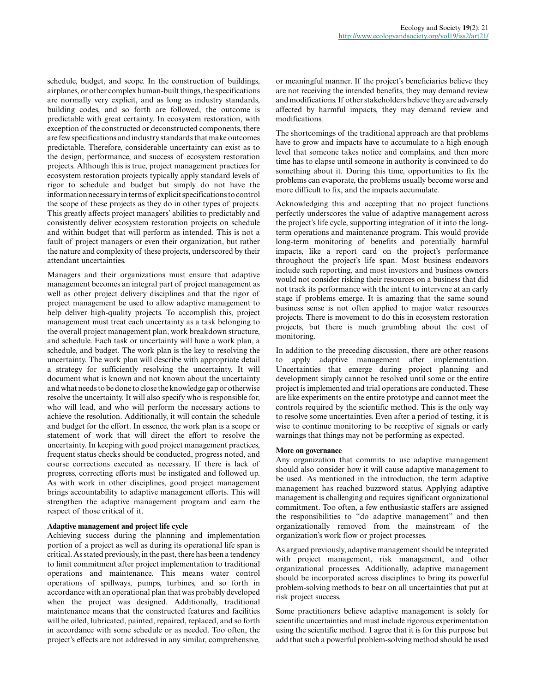schedule, budget, and scope. In the construction of buildings, airplanes, or other complex human-built things, the specifications are normally very explicit, and as long as industry standards, building codes, and so forth are followed, the outcome is predictable with great certainty. In ecosystem restoration, with exception of the constructed or deconstructed components, there are few specifications and industry standards that make outcomes predictable. Therefore, considerable uncertainty can exist as to the design, performance, and success of ecosystem restoration projects. Although this is true, project management practices for ecosystem restoration projects typically apply standard levels of rigor to schedule and budget but simply do not have the information necessary in terms of explicit specifications to control the scope of these projects as they do in other types of projects. This greatly affects project managers' abilities to predictably and consistently deliver ecosystem restoration projects on schedule and within budget that will perform as intended. This is not a fault of project managers or even their organization, but rather the nature and complexity of these projects, underscored by their attendant uncertainties.

Managers and their organizations must ensure that adaptive management becomes an integral part of project management as well as other project delivery disciplines and that the rigor of project management be used to allow adaptive management to help deliver high-quality projects. To accomplish this, project management must treat each uncertainty as a task belonging to the overall project management plan, work breakdown structure, and schedule. Each task or uncertainty will have a work plan, a schedule, and budget. The work plan is the key to resolving the uncertainty. The work plan will describe with appropriate detail a strategy for sufficiently resolving the uncertainty. It will document what is known and not known about the uncertainty and what needs to be done to close the knowledge gap or otherwise resolve the uncertainty. It will also specify who is responsible for, who will lead, and who will perform the necessary actions to achieve the resolution. Additionally, it will contain the schedule and budget for the effort. In essence, the work plan is a scope or statement of work that will direct the effort to resolve the uncertainty. In keeping with good project management practices, frequent status checks should be conducted, progress noted, and course corrections executed as necessary. If there is lack of progress, correcting efforts must be instigated and followed up. As with work in other disciplines, good project management brings accountability to adaptive management efforts. This will strengthen the adaptive management program and earn the respect of those critical of it.

#### **Adaptive management and project life cycle**

Achieving success during the planning and implementation portion of a project as well as during its operational life span is critical. As stated previously, in the past, there has been a tendency to limit commitment after project implementation to traditional operations and maintenance. This means water control operations of spillways, pumps, turbines, and so forth in accordance with an operational plan that was probably developed when the project was designed. Additionally, traditional maintenance means that the constructed features and facilities will be oiled, lubricated, painted, repaired, replaced, and so forth in accordance with some schedule or as needed. Too often, the project's effects are not addressed in any similar, comprehensive,

or meaningful manner. If the project's beneficiaries believe they are not receiving the intended benefits, they may demand review and modifications. If other stakeholders believe they are adversely affected by harmful impacts, they may demand review and modifications.

The shortcomings of the traditional approach are that problems have to grow and impacts have to accumulate to a high enough level that someone takes notice and complains, and then more time has to elapse until someone in authority is convinced to do something about it. During this time, opportunities to fix the problems can evaporate, the problems usually become worse and more difficult to fix, and the impacts accumulate.

Acknowledging this and accepting that no project functions perfectly underscores the value of adaptive management across the project's life cycle, supporting integration of it into the longterm operations and maintenance program. This would provide long-term monitoring of benefits and potentially harmful impacts, like a report card on the project's performance throughout the project's life span. Most business endeavors include such reporting, and most investors and business owners would not consider risking their resources on a business that did not track its performance with the intent to intervene at an early stage if problems emerge. It is amazing that the same sound business sense is not often applied to major water resources projects. There is movement to do this in ecosystem restoration projects, but there is much grumbling about the cost of monitoring.

In addition to the preceding discussion, there are other reasons to apply adaptive management after implementation. Uncertainties that emerge during project planning and development simply cannot be resolved until some or the entire project is implemented and trial operations are conducted. These are like experiments on the entire prototype and cannot meet the controls required by the scientific method. This is the only way to resolve some uncertainties. Even after a period of testing, it is wise to continue monitoring to be receptive of signals or early warnings that things may not be performing as expected.

#### **More on governance**

Any organization that commits to use adaptive management should also consider how it will cause adaptive management to be used. As mentioned in the introduction, the term adaptive management has reached buzzword status. Applying adaptive management is challenging and requires significant organizational commitment. Too often, a few enthusiastic staffers are assigned the responsibilities to "do adaptive management" and then organizationally removed from the mainstream of the organization's work flow or project processes.

As argued previously, adaptive management should be integrated with project management, risk management, and other organizational processes. Additionally, adaptive management should be incorporated across disciplines to bring its powerful problem-solving methods to bear on all uncertainties that put at risk project success.

Some practitioners believe adaptive management is solely for scientific uncertainties and must include rigorous experimentation using the scientific method. I agree that it is for this purpose but add that such a powerful problem-solving method should be used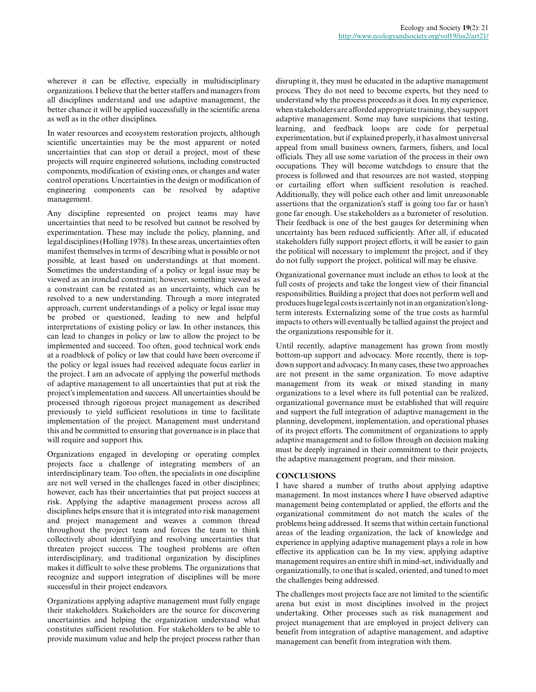wherever it can be effective, especially in multidisciplinary organizations. I believe that the better staffers and managers from all disciplines understand and use adaptive management, the better chance it will be applied successfully in the scientific arena as well as in the other disciplines.

In water resources and ecosystem restoration projects, although scientific uncertainties may be the most apparent or noted uncertainties that can stop or derail a project, most of these projects will require engineered solutions, including constructed components, modification of existing ones, or changes and water control operations. Uncertainties in the design or modification of engineering components can be resolved by adaptive management.

Any discipline represented on project teams may have uncertainties that need to be resolved but cannot be resolved by experimentation. These may include the policy, planning, and legal disciplines (Holling 1978). In these areas, uncertainties often manifest themselves in terms of describing what is possible or not possible, at least based on understandings at that moment. Sometimes the understanding of a policy or legal issue may be viewed as an ironclad constraint; however, something viewed as a constraint can be restated as an uncertainty, which can be resolved to a new understanding. Through a more integrated approach, current understandings of a policy or legal issue may be probed or questioned, leading to new and helpful interpretations of existing policy or law. In other instances, this can lead to changes in policy or law to allow the project to be implemented and succeed. Too often, good technical work ends at a roadblock of policy or law that could have been overcome if the policy or legal issues had received adequate focus earlier in the project. I am an advocate of applying the powerful methods of adaptive management to all uncertainties that put at risk the project's implementation and success. All uncertainties should be processed through rigorous project management as described previously to yield sufficient resolutions in time to facilitate implementation of the project. Management must understand this and be committed to ensuring that governance is in place that will require and support this.

Organizations engaged in developing or operating complex projects face a challenge of integrating members of an interdisciplinary team. Too often, the specialists in one discipline are not well versed in the challenges faced in other disciplines; however, each has their uncertainties that put project success at risk. Applying the adaptive management process across all disciplines helps ensure that it is integrated into risk management and project management and weaves a common thread throughout the project team and forces the team to think collectively about identifying and resolving uncertainties that threaten project success. The toughest problems are often interdisciplinary, and traditional organization by disciplines makes it difficult to solve these problems. The organizations that recognize and support integration of disciplines will be more successful in their project endeavors.

Organizations applying adaptive management must fully engage their stakeholders. Stakeholders are the source for discovering uncertainties and helping the organization understand what constitutes sufficient resolution. For stakeholders to be able to provide maximum value and help the project process rather than

disrupting it, they must be educated in the adaptive management process. They do not need to become experts, but they need to understand why the process proceeds as it does. In my experience, when stakeholders are afforded appropriate training, they support adaptive management. Some may have suspicions that testing, learning, and feedback loops are code for perpetual experimentation, but if explained properly, it has almost universal appeal from small business owners, farmers, fishers, and local officials. They all use some variation of the process in their own occupations. They will become watchdogs to ensure that the process is followed and that resources are not wasted, stopping or curtailing effort when sufficient resolution is reached. Additionally, they will police each other and limit unreasonable assertions that the organization's staff is going too far or hasn't gone far enough. Use stakeholders as a barometer of resolution. Their feedback is one of the best gauges for determining when uncertainty has been reduced sufficiently. After all, if educated stakeholders fully support project efforts, it will be easier to gain the political will necessary to implement the project, and if they do not fully support the project, political will may be elusive.

Organizational governance must include an ethos to look at the full costs of projects and take the longest view of their financial responsibilities. Building a project that does not perform well and produces huge legal costs is certainly not in an organization's longterm interests. Externalizing some of the true costs as harmful impacts to others will eventually be tallied against the project and the organizations responsible for it.

Until recently, adaptive management has grown from mostly bottom-up support and advocacy. More recently, there is topdown support and advocacy. In many cases, these two approaches are not present in the same organization. To move adaptive management from its weak or mixed standing in many organizations to a level where its full potential can be realized, organizational governance must be established that will require and support the full integration of adaptive management in the planning, development, implementation, and operational phases of its project efforts. The commitment of organizations to apply adaptive management and to follow through on decision making must be deeply ingrained in their commitment to their projects, the adaptive management program, and their mission.

## **CONCLUSIONS**

I have shared a number of truths about applying adaptive management. In most instances where I have observed adaptive management being contemplated or applied, the efforts and the organizational commitment do not match the scales of the problems being addressed. It seems that within certain functional areas of the leading organization, the lack of knowledge and experience in applying adaptive management plays a role in how effective its application can be. In my view, applying adaptive management requires an entire shift in mind-set, individually and organizationally, to one that is scaled, oriented, and tuned to meet the challenges being addressed.

The challenges most projects face are not limited to the scientific arena but exist in most disciplines involved in the project undertaking. Other processes such as risk management and project management that are employed in project delivery can benefit from integration of adaptive management, and adaptive management can benefit from integration with them.